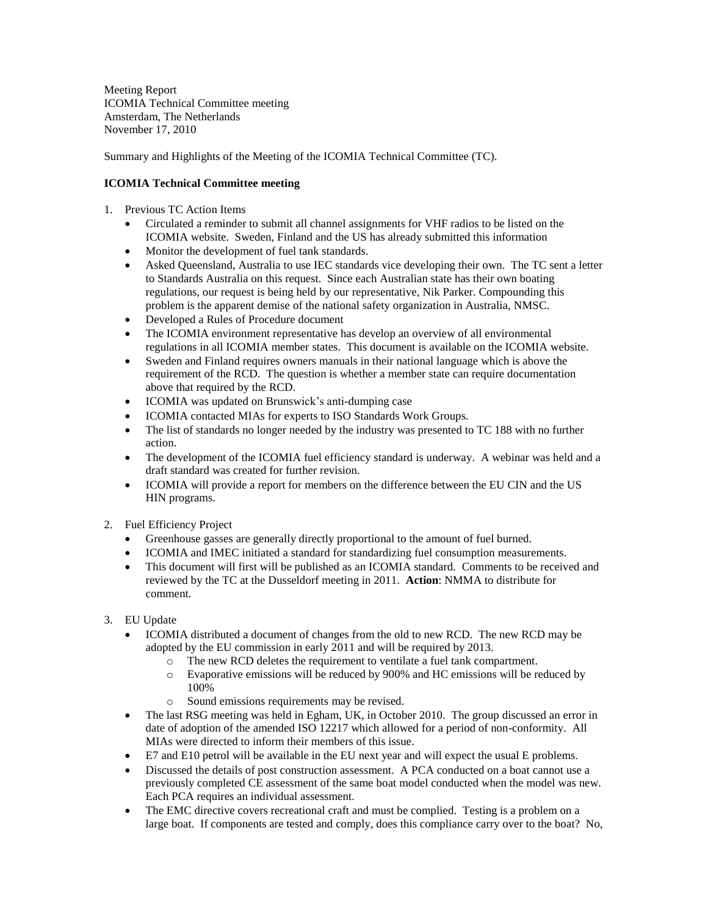Meeting Report ICOMIA Technical Committee meeting Amsterdam, The Netherlands November 17, 2010

Summary and Highlights of the Meeting of the ICOMIA Technical Committee (TC).

## **ICOMIA Technical Committee meeting**

- 1. Previous TC Action Items
	- Circulated a reminder to submit all channel assignments for VHF radios to be listed on the ICOMIA website. Sweden, Finland and the US has already submitted this information
	- Monitor the development of fuel tank standards.
	- Asked Queensland, Australia to use IEC standards vice developing their own. The TC sent a letter to Standards Australia on this request. Since each Australian state has their own boating regulations, our request is being held by our representative, Nik Parker. Compounding this problem is the apparent demise of the national safety organization in Australia, NMSC.
	- Developed a Rules of Procedure document
	- The ICOMIA environment representative has develop an overview of all environmental regulations in all ICOMIA member states. This document is available on the ICOMIA website.
	- Sweden and Finland requires owners manuals in their national language which is above the requirement of the RCD. The question is whether a member state can require documentation above that required by the RCD.
	- ICOMIA was updated on Brunswick's anti-dumping case
	- ICOMIA contacted MIAs for experts to ISO Standards Work Groups.
	- The list of standards no longer needed by the industry was presented to TC 188 with no further action.
	- The development of the ICOMIA fuel efficiency standard is underway. A webinar was held and a draft standard was created for further revision.
	- ICOMIA will provide a report for members on the difference between the EU CIN and the US HIN programs.
- 2. Fuel Efficiency Project
	- Greenhouse gasses are generally directly proportional to the amount of fuel burned.
	- ICOMIA and IMEC initiated a standard for standardizing fuel consumption measurements.
	- This document will first will be published as an ICOMIA standard. Comments to be received and reviewed by the TC at the Dusseldorf meeting in 2011. **Action**: NMMA to distribute for comment.
- 3. EU Update
	- ICOMIA distributed a document of changes from the old to new RCD. The new RCD may be adopted by the EU commission in early 2011 and will be required by 2013.
		- o The new RCD deletes the requirement to ventilate a fuel tank compartment.
		- o Evaporative emissions will be reduced by 900% and HC emissions will be reduced by 100%
		- o Sound emissions requirements may be revised.
	- The last RSG meeting was held in Egham, UK, in October 2010. The group discussed an error in date of adoption of the amended ISO 12217 which allowed for a period of non-conformity. All MIAs were directed to inform their members of this issue.
	- E7 and E10 petrol will be available in the EU next year and will expect the usual E problems.
	- Discussed the details of post construction assessment. A PCA conducted on a boat cannot use a previously completed CE assessment of the same boat model conducted when the model was new. Each PCA requires an individual assessment.
	- The EMC directive covers recreational craft and must be complied. Testing is a problem on a large boat. If components are tested and comply, does this compliance carry over to the boat? No,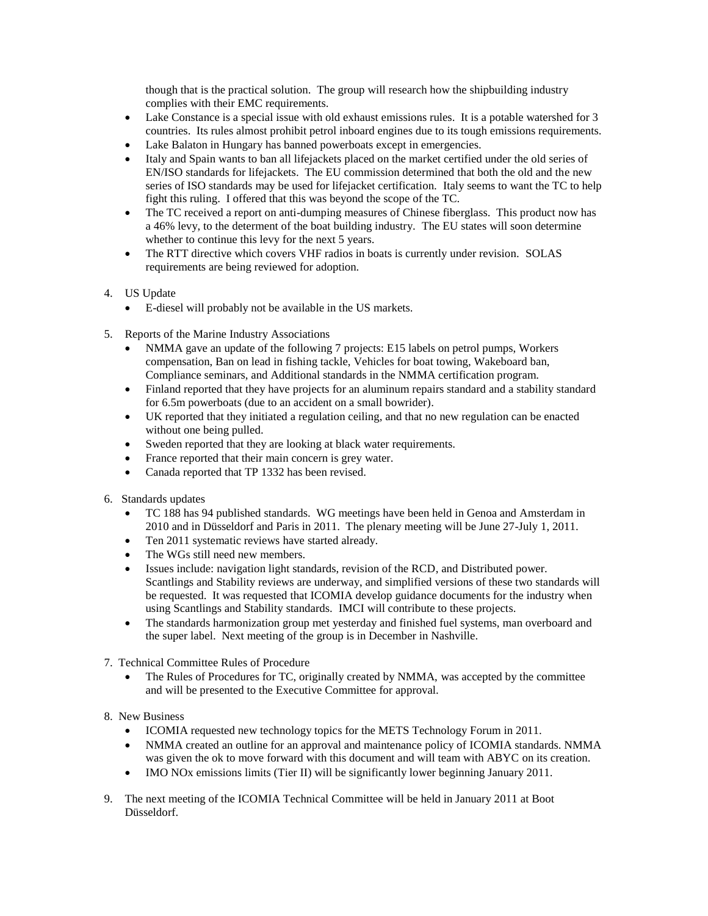though that is the practical solution. The group will research how the shipbuilding industry complies with their EMC requirements.

- Lake Constance is a special issue with old exhaust emissions rules. It is a potable watershed for 3 countries. Its rules almost prohibit petrol inboard engines due to its tough emissions requirements.
- Lake Balaton in Hungary has banned powerboats except in emergencies.
- Italy and Spain wants to ban all lifejackets placed on the market certified under the old series of EN/ISO standards for lifejackets. The EU commission determined that both the old and the new series of ISO standards may be used for lifejacket certification. Italy seems to want the TC to help fight this ruling. I offered that this was beyond the scope of the TC.
- The TC received a report on anti-dumping measures of Chinese fiberglass. This product now has a 46% levy, to the determent of the boat building industry. The EU states will soon determine whether to continue this levy for the next 5 years.
- The RTT directive which covers VHF radios in boats is currently under revision. SOLAS requirements are being reviewed for adoption.
- 4. US Update
	- E-diesel will probably not be available in the US markets.
- 5. Reports of the Marine Industry Associations
	- NMMA gave an update of the following 7 projects: E15 labels on petrol pumps, Workers compensation, Ban on lead in fishing tackle, Vehicles for boat towing, Wakeboard ban, Compliance seminars, and Additional standards in the NMMA certification program.
	- Finland reported that they have projects for an aluminum repairs standard and a stability standard for 6.5m powerboats (due to an accident on a small bowrider).
	- UK reported that they initiated a regulation ceiling, and that no new regulation can be enacted without one being pulled.
	- Sweden reported that they are looking at black water requirements.
	- France reported that their main concern is grey water.
	- Canada reported that TP 1332 has been revised.
- 6. Standards updates
	- TC 188 has 94 published standards. WG meetings have been held in Genoa and Amsterdam in 2010 and in Düsseldorf and Paris in 2011. The plenary meeting will be June 27-July 1, 2011.
	- Ten 2011 systematic reviews have started already.
	- The WGs still need new members.
	- Issues include: navigation light standards, revision of the RCD, and Distributed power. Scantlings and Stability reviews are underway, and simplified versions of these two standards will be requested. It was requested that ICOMIA develop guidance documents for the industry when using Scantlings and Stability standards. IMCI will contribute to these projects.
	- The standards harmonization group met yesterday and finished fuel systems, man overboard and the super label. Next meeting of the group is in December in Nashville.
- 7. Technical Committee Rules of Procedure
	- The Rules of Procedures for TC, originally created by NMMA, was accepted by the committee and will be presented to the Executive Committee for approval.
- 8. New Business
	- ICOMIA requested new technology topics for the METS Technology Forum in 2011.
	- NMMA created an outline for an approval and maintenance policy of ICOMIA standards. NMMA was given the ok to move forward with this document and will team with ABYC on its creation.
	- IMO NOx emissions limits (Tier II) will be significantly lower beginning January 2011.
- 9. The next meeting of the ICOMIA Technical Committee will be held in January 2011 at Boot Düsseldorf.